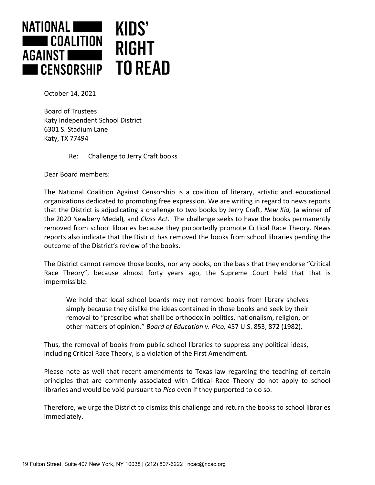

October 14, 2021

Board of Trustees Katy Independent School District 6301 S. Stadium Lane Katy, TX 77494

Re: Challenge to Jerry Craft books

Dear Board members:

The National Coalition Against Censorship is a coalition of literary, artistic and educational organizations dedicated to promoting free expression. We are writing in regard to news reports that the District is adjudicating a challenge to two books by Jerry Craft, *New Kid,* (a winner of the 2020 Newbery Medal)*,* and *Class Act*. The challenge seeks to have the books permanently removed from school libraries because they purportedly promote Critical Race Theory. News reports also indicate that the District has removed the books from school libraries pending the outcome of the District's review of the books.

The District cannot remove those books, nor any books, on the basis that they endorse "Critical Race Theory", because almost forty years ago, the Supreme Court held that that is impermissible:

We hold that local school boards may not remove books from library shelves simply because they dislike the ideas contained in those books and seek by their removal to "prescribe what shall be orthodox in politics, nationalism, religion, or other matters of opinion." *Board of Education v. Pico,* 457 U.S. 853, 872 (1982).

Thus, the removal of books from public school libraries to suppress any political ideas, including Critical Race Theory, is a violation of the First Amendment.

Please note as well that recent amendments to Texas law regarding the teaching of certain principles that are commonly associated with Critical Race Theory do not apply to school libraries and would be void pursuant to *Pico* even if they purported to do so.

Therefore, we urge the District to dismiss this challenge and return the books to school libraries immediately.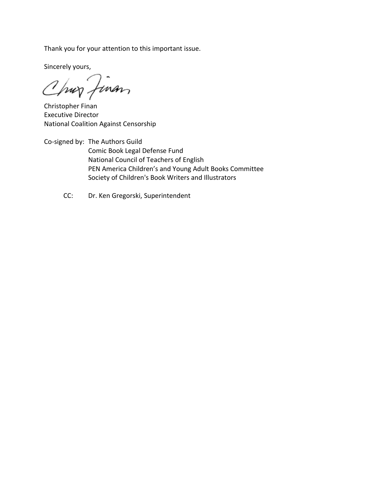Thank you for your attention to this important issue.

Sincerely yours,

Chur Jinan

Christopher Finan Executive Director National Coalition Against Censorship

Co-signed by: The Authors Guild Comic Book Legal Defense Fund National Council of Teachers of English PEN America Children's and Young Adult Books Committee Society of Children's Book Writers and Illustrators

CC: Dr. Ken Gregorski, Superintendent